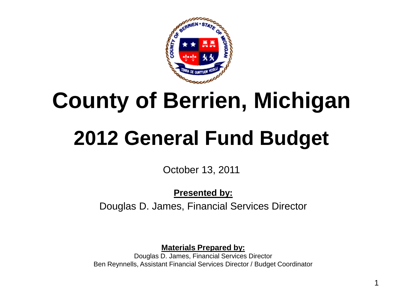

October 13, 2011

**Presented by:** Douglas D. James, Financial Services Director

**Materials Prepared by:**

Douglas D. James, Financial Services Director Ben Reynnells, Assistant Financial Services Director / Budget Coordinator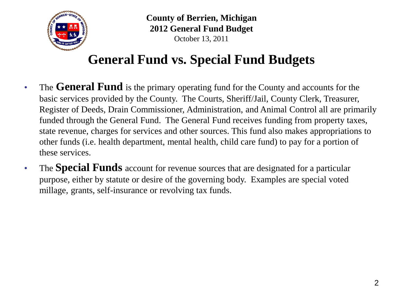

# **General Fund vs. Special Fund Budgets**

- The **General Fund** is the primary operating fund for the County and accounts for the basic services provided by the County. The Courts, Sheriff/Jail, County Clerk, Treasurer, Register of Deeds, Drain Commissioner, Administration, and Animal Control all are primarily funded through the General Fund. The General Fund receives funding from property taxes, state revenue, charges for services and other sources. This fund also makes appropriations to other funds (i.e. health department, mental health, child care fund) to pay for a portion of these services.
- The **Special Funds** account for revenue sources that are designated for a particular purpose, either by statute or desire of the governing body. Examples are special voted millage, grants, self-insurance or revolving tax funds.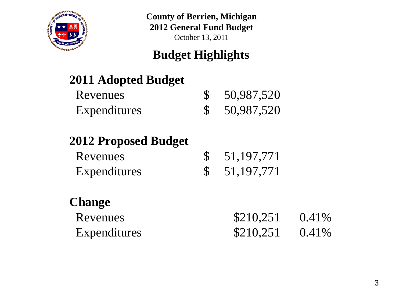

## **Budget Highlights**

## **2011 Adopted Budget**

| <b>Revenues</b> | \$50,987,520 |
|-----------------|--------------|
| Expenditures    | \$50,987,520 |

## **2012 Proposed Budget**

| Revenues     | \$51,197,771 |
|--------------|--------------|
| Expenditures | \$51,197,771 |

## **Change**

| Revenues     | \$210,251 | $0.41\%$ |
|--------------|-----------|----------|
| Expenditures | \$210,251 | $0.41\%$ |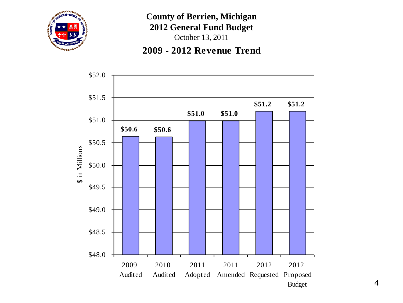

October 13, 2011



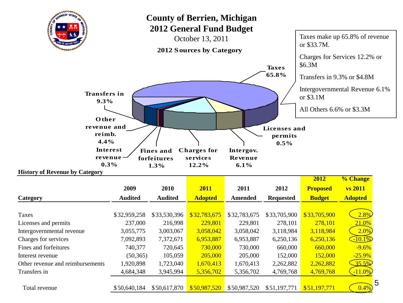

Total revenue  $$50,640,184$   $$50,617,870$   $$50,987,520$   $$50,987,520$   $$51,197,771$   $$51,197,771$   $\left($  0.4%

5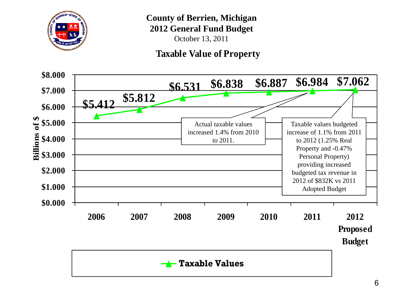

October 13, 2011

#### **Taxable Value of Property**

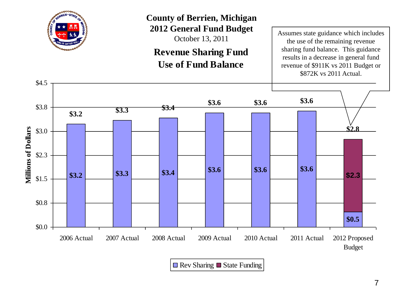

October 13, 2011

**Revenue Sharing Fund Use of Fund Balance**

Assumes state guidance which includes the use of the remaining revenue sharing fund balance. This guidance results in a decrease in general fund revenue of \$911K vs 2011 Budget or \$872K vs 2011 Actual.



 $\blacksquare$  Rev Sharing  $\blacksquare$  State Funding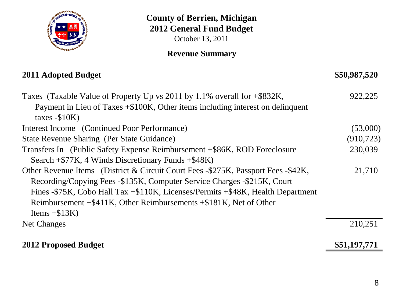

October 13, 2011

#### **Revenue Summary**

| 2011 Adopted Budget                                                               | \$50,987,520 |
|-----------------------------------------------------------------------------------|--------------|
| Taxes (Taxable Value of Property Up vs 2011 by 1.1% overall for $+\$ \$832K,      | 922,225      |
| Payment in Lieu of Taxes +\$100K, Other items including interest on delinquent    |              |
| taxes $-$10K)$                                                                    |              |
| Interest Income (Continued Poor Performance)                                      | (53,000)     |
| State Revenue Sharing (Per State Guidance)                                        | (910, 723)   |
| Transfers In (Public Safety Expense Reimbursement +\$86K, ROD Foreclosure         | 230,039      |
| Search $+$ \$77K, 4 Winds Discretionary Funds $+$ \$48K)                          |              |
| Other Revenue Items (District & Circuit Court Fees -\$275K, Passport Fees -\$42K, | 21,710       |
| Recording/Copying Fees -\$135K, Computer Service Charges -\$215K, Court           |              |
| Fines -\$75K, Cobo Hall Tax +\$110K, Licenses/Permits +\$48K, Health Department   |              |
| Reimbursement $+$ \$411K, Other Reimbursements $+$ \$181K, Net of Other           |              |
| Items $+ $13K$ )                                                                  |              |
| Net Changes                                                                       | 210,251      |
| <b>2012 Proposed Budget</b>                                                       | \$51,197,771 |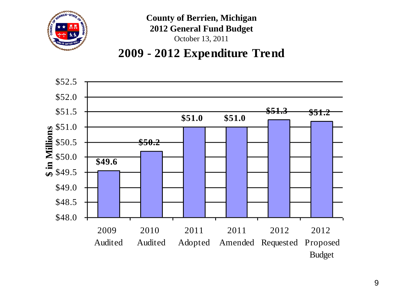

### **2009 - 2012 Expenditure Trend**

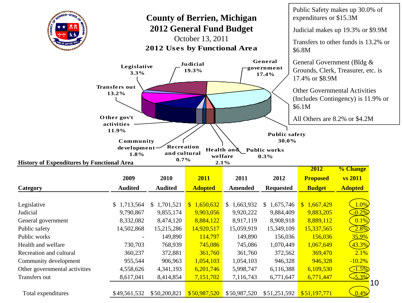| RIEN * STAT                                                                                                                                                                                                                                                                                                                                                                                                                  | Public Safety makes up 30.0% of<br><b>County of Berrien, Michigan</b><br>expenditures or \$15.3M<br><b>2012 General Fund Budget</b><br>Judicial makes up 19.3% or \$9.9M<br>October 13, 2011 |                          |                          |                          |                          |                          |                 |  |  |  |
|------------------------------------------------------------------------------------------------------------------------------------------------------------------------------------------------------------------------------------------------------------------------------------------------------------------------------------------------------------------------------------------------------------------------------|----------------------------------------------------------------------------------------------------------------------------------------------------------------------------------------------|--------------------------|--------------------------|--------------------------|--------------------------|--------------------------|-----------------|--|--|--|
| Transfers to other funds is 13.2% or<br>2012 Uses by Functional Area<br>\$6.8M<br>General<br>General Government (Bldg &<br>Judicial<br>Legislative<br>government<br>Grounds, Clerk, Treasurer, etc. is<br>19.3%<br>3.3%<br>17.4%<br>17.4% or \$8.9M<br><b>Transfers out</b><br><b>Other Governmental Activities</b><br>13.2%<br>(Includes Contingency) is 11.9% or<br>\$6.1M<br>Other gov't<br>All Others are 8.2% or \$4.2M |                                                                                                                                                                                              |                          |                          |                          |                          |                          |                 |  |  |  |
| activities<br>11.9%<br><b>Public safety</b><br>30.0%<br>Community<br>Recreation<br>development-<br>Health and<br><b>Public works</b><br>and cultural<br>1.8%<br>welfare<br>$0.3\%$<br>0.7%<br><b>History of Expenditures by Functional Area</b><br>2.1%                                                                                                                                                                      |                                                                                                                                                                                              |                          |                          |                          |                          |                          |                 |  |  |  |
|                                                                                                                                                                                                                                                                                                                                                                                                                              |                                                                                                                                                                                              |                          |                          |                          |                          | 2012                     | % Change        |  |  |  |
|                                                                                                                                                                                                                                                                                                                                                                                                                              | 2009                                                                                                                                                                                         | 2010                     | 2011                     | 2011                     | 2012                     | <b>Proposed</b>          | <b>vs 2011</b>  |  |  |  |
| Category                                                                                                                                                                                                                                                                                                                                                                                                                     | <b>Audited</b>                                                                                                                                                                               | <b>Audited</b>           | <b>Adopted</b>           | <b>Amended</b>           | <b>Requested</b>         | <b>Budget</b>            | <b>Adopted</b>  |  |  |  |
| Legislative<br>Judicial                                                                                                                                                                                                                                                                                                                                                                                                      | \$1,713,564<br>9,790,867                                                                                                                                                                     | \$1,701,521<br>9,855,174 | \$1,650,632<br>9,903,056 | \$1,663,932<br>9,920,222 | \$1,675,746<br>9,884,409 | \$1,667,429<br>9,883,205 | 1.0%<br>$-0.2%$ |  |  |  |
| General government                                                                                                                                                                                                                                                                                                                                                                                                           | 8,332,082                                                                                                                                                                                    | 8,474,120                | 8,884,122<br>14,920,517  | 8,917,119                | 8,908,918                | 8,889,112                | 0.1%<br>2.8%    |  |  |  |
| Public safety<br>Public works                                                                                                                                                                                                                                                                                                                                                                                                | 14,502,868                                                                                                                                                                                   | 15,215,286<br>149,890    | 114,797                  | 15,059,919<br>149,890    | 15,349,109<br>156,036    | 15,337,565<br>156,036    | 35.9%           |  |  |  |
| Health and welfare                                                                                                                                                                                                                                                                                                                                                                                                           | 730,703                                                                                                                                                                                      | 768,939                  | 745,086                  | 745,086                  | 1,070,449                | 1,067,649                | 43.3%           |  |  |  |
| Recreation and cultural                                                                                                                                                                                                                                                                                                                                                                                                      | 360,237                                                                                                                                                                                      | 372,881                  | 361,760                  | 361,760                  | 372,562                  | 369,470                  | 2.1%            |  |  |  |
| Community development                                                                                                                                                                                                                                                                                                                                                                                                        | 955,544                                                                                                                                                                                      | 906,963                  | 1,054,103                | 1,054,103                | 946,328                  | 946,328                  | $-10.2%$        |  |  |  |
| Other governmental activities                                                                                                                                                                                                                                                                                                                                                                                                | 4,558,626                                                                                                                                                                                    | 4,341,193                | 6,201,746                | 5,998,747                | 6,116,388                | 6,109,530                | $-1.5%$         |  |  |  |
|                                                                                                                                                                                                                                                                                                                                                                                                                              |                                                                                                                                                                                              |                          |                          |                          |                          |                          |                 |  |  |  |
| Transfers out                                                                                                                                                                                                                                                                                                                                                                                                                | 8,617,041                                                                                                                                                                                    | 8,414,854                | 7,151,702                | 7,116,743                | 6,771,647                | 6,771,447                | $-5.3%$<br>10   |  |  |  |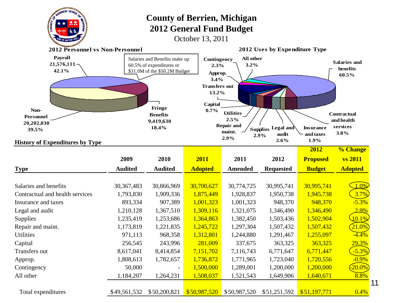| <b>OFFIRIEN * STAT</b><br><b>County of Berrien, Michigan</b><br><b>2012 General Fund Budget</b><br>October 13, 2011 |                                                             |                              |                                          |                             |                               |                   |                |  |  |  |
|---------------------------------------------------------------------------------------------------------------------|-------------------------------------------------------------|------------------------------|------------------------------------------|-----------------------------|-------------------------------|-------------------|----------------|--|--|--|
| <b>2012 Personnel vs Non-Personnel</b>                                                                              |                                                             |                              |                                          |                             | 2012 Uses by Expenditure Type |                   |                |  |  |  |
| <b>Payroll</b><br>$21,576,111-$<br>42.1%                                                                            | All other<br>Contingency<br>3.2%<br>2.3%<br>Approp.<br>3.4% |                              | <b>Salaries and</b><br>benefits<br>60.5% |                             |                               |                   |                |  |  |  |
| Non-<br>Personnel                                                                                                   |                                                             | <b>Contractual</b>           |                                          |                             |                               |                   |                |  |  |  |
| 20,202,030                                                                                                          |                                                             | <b>Benefits</b><br>9,419,630 |                                          | 2.5%                        |                               |                   | and health     |  |  |  |
| 39.5%                                                                                                               |                                                             | 18.4%                        |                                          | <b>Repair and</b><br>maint. | Supplies Legal and            | <b>Insurance</b>  | services       |  |  |  |
|                                                                                                                     |                                                             |                              |                                          | 2.9%                        | audit<br>2.9%<br>2.6%         | and taxes<br>1.9% | 3.8%           |  |  |  |
| <b>History of Expenditures by Type</b>                                                                              |                                                             |                              |                                          |                             |                               | 2012              | % Change       |  |  |  |
|                                                                                                                     | 2009                                                        | 2010                         | 2011                                     | 2011                        | 2012                          | <b>Proposed</b>   | <b>vs 2011</b> |  |  |  |
| <b>Type</b>                                                                                                         | <b>Audited</b>                                              | <b>Audited</b>               | <b>Adopted</b>                           | <b>Amended</b>              | <b>Requested</b>              | <b>Budget</b>     | <b>Adopted</b> |  |  |  |
|                                                                                                                     |                                                             |                              |                                          |                             |                               |                   |                |  |  |  |
| Salaries and benefits                                                                                               | 30, 367, 483                                                | 30,866,969                   | 30,700,627                               | 30,774,725                  | 30,995,741                    | 30,995,741        | $1.0\%$        |  |  |  |
| Contractual and health services                                                                                     | 1,793,830                                                   | 1,909,336                    | 1,875,449                                | 1,928,837                   | 1,950,738                     | 1,945,738         | 3.7%           |  |  |  |
| Insurance and taxes                                                                                                 | 893,334                                                     | 907,389                      | 1,001,323                                | 1,001,323                   | 948,370                       | 948,370           | $-5.3%$        |  |  |  |
| Legal and audit                                                                                                     | 1,210,128                                                   | 1,367,510                    | 1,309,116                                | 1,321,075                   | 1,346,490                     | 1,346,490         | 2.9%           |  |  |  |
| Supplies                                                                                                            | 1,235,419                                                   | 1,253,686                    | 1,364,863                                | 1,382,450                   | 1,503,436                     | 1,502,904         | $10.1\%$       |  |  |  |
| Repair and maint.                                                                                                   | 1,173,819                                                   | 1,221,835                    | 1,245,722                                | 1,297,304                   | 1,507,432                     | 1,507,432         | $21.0\%$       |  |  |  |
| <b>Utilities</b>                                                                                                    | 971,113                                                     | 968,358                      | 1,312,801                                | 1,244,880                   | 1,291,467                     | 1,255,097         | $-4.4%$        |  |  |  |
| Capital                                                                                                             | 256,545                                                     | 243,996                      | 281,009                                  | 337,675                     | 363,325                       | 363,325           | 29.3%          |  |  |  |
| Transfers out                                                                                                       | 8,617,041                                                   | 8,414,854                    | 7,151,702                                | 7,116,743                   | 6,771,647                     | 6,771,447         | $-5.3%$        |  |  |  |
| Approp.                                                                                                             | 1,808,613                                                   | 1,782,657                    | 1,736,872                                | 1,771,965                   | 1,723,040                     | 1,720,556         | $-0.9%$        |  |  |  |
| Contingency                                                                                                         | 50,000                                                      |                              | 1,500,000                                | 1,289,001                   | 1,200,000                     | 1,200,000         | $20.0\%$       |  |  |  |
| All other                                                                                                           | 1,184,207                                                   | 1,264,231                    | 1,508,037                                | 1,521,543                   | 1,649,906                     | 1,640,671         | 8.8%           |  |  |  |
| Total expenditures                                                                                                  | \$49,561,532                                                | \$50,200,821                 | \$50,987,520                             | \$50,987,520                | \$51,251,592                  | \$51,197,771      | 0.4%           |  |  |  |

11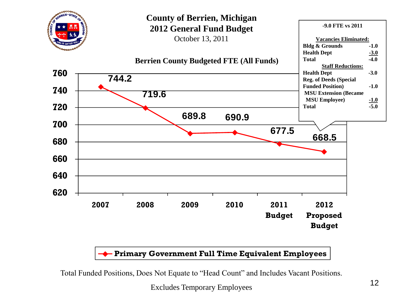

#### **Primary Government Full Time Equivalent Employees**

Total Funded Positions, Does Not Equate to "Head Count" and Includes Vacant Positions.

Excludes Temporary Employees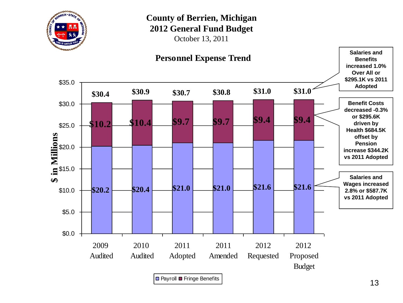

October 13, 2011

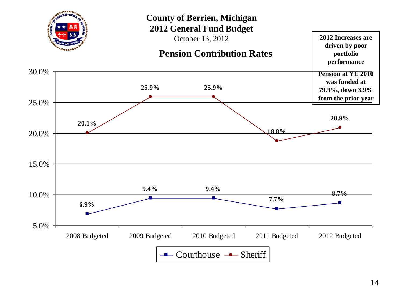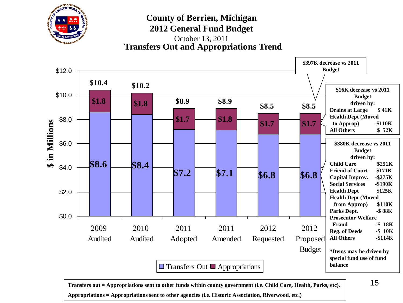

**Transfers Out and Appropriations Trend** October 13, 2011



**Transfers out = Appropriations sent to other funds within county government (i.e. Child Care, Health, Parks, etc). Appropriations = Appropriations sent to other agencies (i.e. Historic Association, Riverwood, etc.)**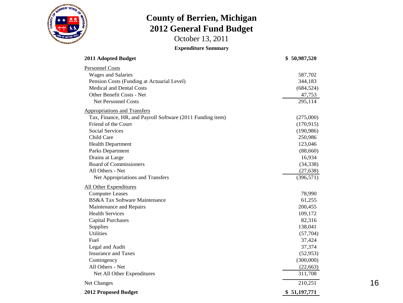

October 13, 2011

**Expenditure Summary**

| 2011 Adopted Budget                                        | \$50,987,520 |
|------------------------------------------------------------|--------------|
| <b>Personnel Costs</b>                                     |              |
| <b>Wages and Salaries</b>                                  | 587,702      |
| Pension Costs (Funding at Actuarial Level)                 | 344,183      |
| <b>Medical and Dental Costs</b>                            | (684, 524)   |
| Other Benefit Costs - Net                                  | 47,753       |
| <b>Net Personnel Costs</b>                                 | 295,114      |
| <b>Appropriations and Transfers</b>                        |              |
| Tax, Finance, HR, and Payroll Software (2011 Funding item) | (275,000)    |
| Friend of the Court                                        | (170, 915)   |
| <b>Social Services</b>                                     | (190, 986)   |
| Child Care                                                 | 250,986      |
| <b>Health Department</b>                                   | 123,046      |
| Parks Department                                           | (88,660)     |
| Drains at Large                                            | 16,934       |
| <b>Board of Commissioners</b>                              | (34, 338)    |
| All Others - Net                                           | (27, 638)    |
| Net Appropriations and Transfers                           | (396, 571)   |
| All Other Expenditures                                     |              |
| <b>Computer Leases</b>                                     | 78,990       |
| BS&A Tax Software Maintenance                              | 61,255       |
| Maintenance and Repairs                                    | 200,455      |
| <b>Health Services</b>                                     | 109,172      |
| <b>Capital Purchases</b>                                   | 82,316       |
| Supplies                                                   | 138,041      |
| <b>Utilities</b>                                           | (57,704)     |
| Fuel                                                       | 37,424       |
| Legal and Audit                                            | 37,374       |
| <b>Insurance and Taxes</b>                                 | (52, 953)    |
| Contingency                                                | (300,000)    |
| All Others - Net                                           | (22, 663)    |
| Net All Other Expenditures                                 | 311,708      |
| Net Changes                                                | 210,251      |
| 2012 Proposed Budget                                       | \$51,197,771 |

16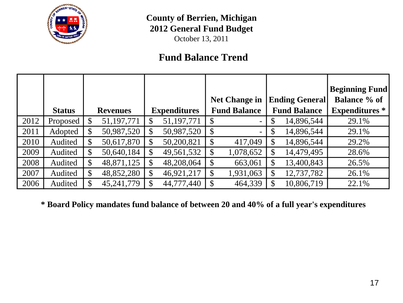

October 13, 2011

#### **Fund Balance Trend**

|      |               |               |                 |                     |    |                      |              |                       | <b>Beginning Fund</b> |
|------|---------------|---------------|-----------------|---------------------|----|----------------------|--------------|-----------------------|-----------------------|
|      |               |               |                 |                     |    | <b>Net Change in</b> |              | <b>Ending General</b> | <b>Balance % of</b>   |
|      | <b>Status</b> |               | <b>Revenues</b> | <b>Expenditures</b> |    | <b>Fund Balance</b>  |              | <b>Fund Balance</b>   | <b>Expenditures</b> * |
| 2012 | Proposed      |               | 51,197,771      | \$<br>51,197,771    |    |                      |              | 14,896,544            | 29.1%                 |
| 2011 | Adopted       | $\mathbb{S}$  | 50,987,520      | \$<br>50,987,520    | \$ |                      |              | 14,896,544            | 29.1%                 |
| 2010 | Audited       | $\mathcal{S}$ | 50,617,870      | \$<br>50,200,821    |    | 417,049              | \$           | 14,896,544            | 29.2%                 |
| 2009 | Audited       | $\mathcal{S}$ | 50,640,184      | \$<br>49,561,532    | \$ | 1,078,652            | \$           | 14,479,495            | 28.6%                 |
| 2008 | Audited       | $\mathcal{S}$ | 48,871,125      | 48,208,064          |    | 663,061              |              | 13,400,843            | 26.5%                 |
| 2007 | Audited       | $\mathcal{S}$ | 48,852,280      | \$<br>46,921,217    | S  | 1,931,063            | $\mathbb{S}$ | 12,737,782            | 26.1%                 |
| 2006 | Audited       | $\mathbb{S}$  | 45,241,779      | 44,777,440          |    | 464,339              |              | 10,806,719            | 22.1%                 |

**\* Board Policy mandates fund balance of between 20 and 40% of a full year's expenditures**